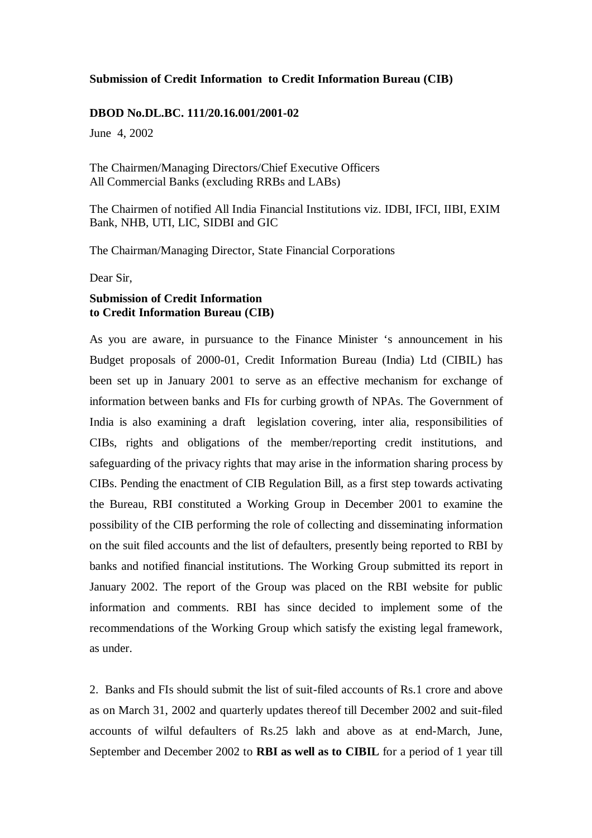#### **Submission of Credit Information to Credit Information Bureau (CIB)**

#### **DBOD No.DL.BC. 111/20.16.001/2001-02**

June 4, 2002

The Chairmen/Managing Directors/Chief Executive Officers All Commercial Banks (excluding RRBs and LABs)

The Chairmen of notified All India Financial Institutions viz. IDBI, IFCI, IIBI, EXIM Bank, NHB, UTI, LIC, SIDBI and GIC

The Chairman/Managing Director, State Financial Corporations

Dear Sir,

## **Submission of Credit Information to Credit Information Bureau (CIB)**

As you are aware, in pursuance to the Finance Minister 's announcement in his Budget proposals of 2000-01, Credit Information Bureau (India) Ltd (CIBIL) has been set up in January 2001 to serve as an effective mechanism for exchange of information between banks and FIs for curbing growth of NPAs. The Government of India is also examining a draft legislation covering, inter alia, responsibilities of CIBs, rights and obligations of the member/reporting credit institutions, and safeguarding of the privacy rights that may arise in the information sharing process by CIBs. Pending the enactment of CIB Regulation Bill, as a first step towards activating the Bureau, RBI constituted a Working Group in December 2001 to examine the possibility of the CIB performing the role of collecting and disseminating information on the suit filed accounts and the list of defaulters, presently being reported to RBI by banks and notified financial institutions. The Working Group submitted its report in January 2002. The report of the Group was placed on the RBI website for public information and comments. RBI has since decided to implement some of the recommendations of the Working Group which satisfy the existing legal framework, as under.

2. Banks and FIs should submit the list of suit-filed accounts of Rs.1 crore and above as on March 31, 2002 and quarterly updates thereof till December 2002 and suit-filed accounts of wilful defaulters of Rs.25 lakh and above as at end-March, June, September and December 2002 to **RBI as well as to CIBIL** for a period of 1 year till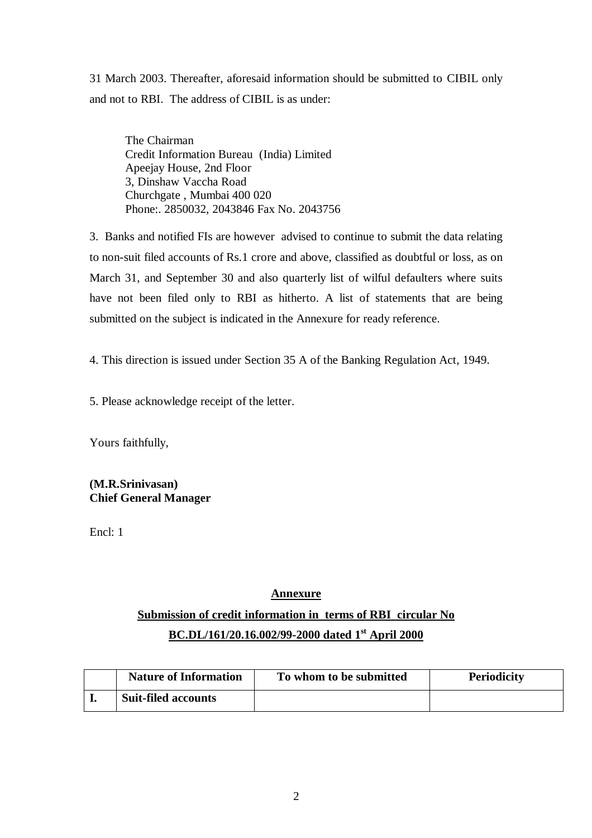31 March 2003. Thereafter, aforesaid information should be submitted to CIBIL only and not to RBI. The address of CIBIL is as under:

The Chairman Credit Information Bureau (India) Limited Apeejay House, 2nd Floor 3, Dinshaw Vaccha Road Churchgate , Mumbai 400 020 Phone:. 2850032, 2043846 Fax No. 2043756

3. Banks and notified FIs are however advised to continue to submit the data relating to non-suit filed accounts of Rs.1 crore and above, classified as doubtful or loss, as on March 31, and September 30 and also quarterly list of wilful defaulters where suits have not been filed only to RBI as hitherto. A list of statements that are being submitted on the subject is indicated in the Annexure for ready reference.

4. This direction is issued under Section 35 A of the Banking Regulation Act, 1949.

5. Please acknowledge receipt of the letter.

Yours faithfully,

**(M.R.Srinivasan) Chief General Manager**

Encl: 1

## **Annexure**

# **Submission of credit information in terms of RBI circular No BC.DL/161/20.16.002/99-2000 dated 1st April 2000**

| <b>Nature of Information</b> | To whom to be submitted | <b>Periodicity</b> |
|------------------------------|-------------------------|--------------------|
| <b>Suit-filed accounts</b>   |                         |                    |